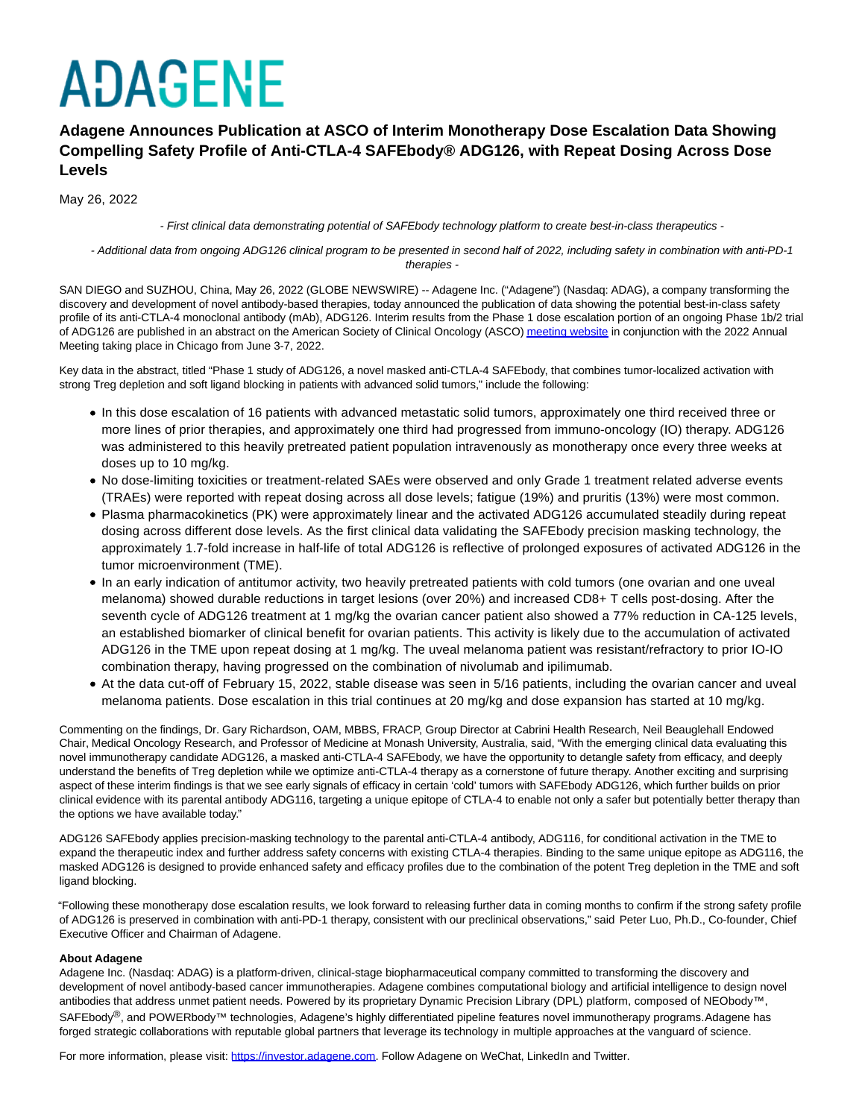# **ADAGENE**

### **Adagene Announces Publication at ASCO of Interim Monotherapy Dose Escalation Data Showing Compelling Safety Profile of Anti-CTLA-4 SAFEbody® ADG126, with Repeat Dosing Across Dose Levels**

May 26, 2022

- First clinical data demonstrating potential of SAFEbody technology platform to create best-in-class therapeutics -

 - Additional data from ongoing ADG126 clinical program to be presented in second half of 2022, including safety in combination with anti-PD-1 therapies -

SAN DIEGO and SUZHOU, China, May 26, 2022 (GLOBE NEWSWIRE) -- Adagene Inc. ("Adagene") (Nasdaq: ADAG), a company transforming the discovery and development of novel antibody-based therapies, today announced the publication of data showing the potential best-in-class safety profile of its anti-CTLA-4 monoclonal antibody (mAb), ADG126. Interim results from the Phase 1 dose escalation portion of an ongoing Phase 1b/2 trial of ADG126 are published in an abstract on the American Society of Clinical Oncology (ASCO[\) meeting website i](https://www.globenewswire.com/Tracker?data=a4SHHGq1eVso5y3GTaIqZkzdcchwRWQsG2edlmbsce8vsaS-jCekjvRINJmdbQRMu0BBSopytIULAJBjwtPgAps3ngv6XERS_oZukwlJM6w=)n conjunction with the 2022 Annual Meeting taking place in Chicago from June 3-7, 2022.

Key data in the abstract, titled "Phase 1 study of ADG126, a novel masked anti-CTLA-4 SAFEbody, that combines tumor-localized activation with strong Treg depletion and soft ligand blocking in patients with advanced solid tumors," include the following:

- In this dose escalation of 16 patients with advanced metastatic solid tumors, approximately one third received three or more lines of prior therapies, and approximately one third had progressed from immuno-oncology (IO) therapy. ADG126 was administered to this heavily pretreated patient population intravenously as monotherapy once every three weeks at doses up to 10 mg/kg.
- No dose-limiting toxicities or treatment-related SAEs were observed and only Grade 1 treatment related adverse events (TRAEs) were reported with repeat dosing across all dose levels; fatigue (19%) and pruritis (13%) were most common.
- Plasma pharmacokinetics (PK) were approximately linear and the activated ADG126 accumulated steadily during repeat dosing across different dose levels. As the first clinical data validating the SAFEbody precision masking technology, the approximately 1.7-fold increase in half-life of total ADG126 is reflective of prolonged exposures of activated ADG126 in the tumor microenvironment (TME).
- In an early indication of antitumor activity, two heavily pretreated patients with cold tumors (one ovarian and one uveal melanoma) showed durable reductions in target lesions (over 20%) and increased CD8+ T cells post-dosing. After the seventh cycle of ADG126 treatment at 1 mg/kg the ovarian cancer patient also showed a 77% reduction in CA-125 levels, an established biomarker of clinical benefit for ovarian patients. This activity is likely due to the accumulation of activated ADG126 in the TME upon repeat dosing at 1 mg/kg. The uveal melanoma patient was resistant/refractory to prior IO-IO combination therapy, having progressed on the combination of nivolumab and ipilimumab.
- At the data cut-off of February 15, 2022, stable disease was seen in 5/16 patients, including the ovarian cancer and uveal melanoma patients. Dose escalation in this trial continues at 20 mg/kg and dose expansion has started at 10 mg/kg.

Commenting on the findings, Dr. Gary Richardson, OAM, MBBS, FRACP, Group Director at Cabrini Health Research, Neil Beauglehall Endowed Chair, Medical Oncology Research, and Professor of Medicine at Monash University, Australia, said, "With the emerging clinical data evaluating this novel immunotherapy candidate ADG126, a masked anti-CTLA-4 SAFEbody, we have the opportunity to detangle safety from efficacy, and deeply understand the benefits of Treg depletion while we optimize anti-CTLA-4 therapy as a cornerstone of future therapy. Another exciting and surprising aspect of these interim findings is that we see early signals of efficacy in certain 'cold' tumors with SAFEbody ADG126, which further builds on prior clinical evidence with its parental antibody ADG116, targeting a unique epitope of CTLA-4 to enable not only a safer but potentially better therapy than the options we have available today."

ADG126 SAFEbody applies precision-masking technology to the parental anti-CTLA-4 antibody, ADG116, for conditional activation in the TME to expand the therapeutic index and further address safety concerns with existing CTLA-4 therapies. Binding to the same unique epitope as ADG116, the masked ADG126 is designed to provide enhanced safety and efficacy profiles due to the combination of the potent Treg depletion in the TME and soft ligand blocking.

"Following these monotherapy dose escalation results, we look forward to releasing further data in coming months to confirm if the strong safety profile of ADG126 is preserved in combination with anti-PD-1 therapy, consistent with our preclinical observations," said Peter Luo, Ph.D., Co-founder, Chief Executive Officer and Chairman of Adagene.

#### **About Adagene**

Adagene Inc. (Nasdaq: ADAG) is a platform-driven, clinical-stage biopharmaceutical company committed to transforming the discovery and development of novel antibody-based cancer immunotherapies. Adagene combines computational biology and artificial intelligence to design novel antibodies that address unmet patient needs. Powered by its proprietary Dynamic Precision Library (DPL) platform, composed of NEObody™, SAFEbody<sup>®</sup>, and POWERbody™ technologies, Adagene's highly differentiated pipeline features novel immunotherapy programs. Adagene has forged strategic collaborations with reputable global partners that leverage its technology in multiple approaches at the vanguard of science.

For more information, please visit: [https://investor.adagene.com.](https://investor.adagene.com/) Follow Adagene on WeChat, LinkedIn and Twitter.